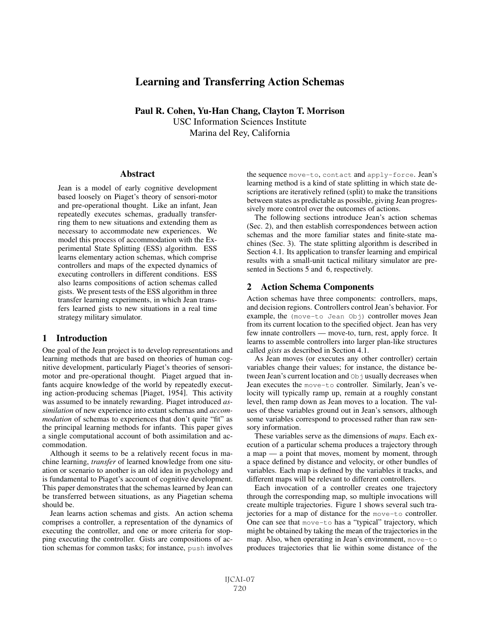# Learning and Transferring Action Schemas

Paul R. Cohen, Yu-Han Chang, Clayton T. Morrison USC Information Sciences Institute Marina del Rey, California

#### Abstract

Jean is a model of early cognitive development based loosely on Piaget's theory of sensori-motor and pre-operational thought. Like an infant, Jean repeatedly executes schemas, gradually transferring them to new situations and extending them as necessary to accommodate new experiences. We model this process of accommodation with the Experimental State Splitting (ESS) algorithm. ESS learns elementary action schemas, which comprise controllers and maps of the expected dynamics of executing controllers in different conditions. ESS also learns compositions of action schemas called gists. We present tests of the ESS algorithm in three transfer learning experiments, in which Jean transfers learned gists to new situations in a real time strategy military simulator.

### 1 Introduction

One goal of the Jean project is to develop representations and learning methods that are based on theories of human cognitive development, particularly Piaget's theories of sensorimotor and pre-operational thought. Piaget argued that infants acquire knowledge of the world by repeatedly executing action-producing schemas [Piaget, 1954]. This activity was assumed to be innately rewarding. Piaget introduced *assimilation* of new experience into extant schemas and *accommodation* of schemas to experiences that don't quite "fit" as the principal learning methods for infants. This paper gives a single computational account of both assimilation and accommodation.

Although it seems to be a relatively recent focus in machine learning, *transfer* of learned knowledge from one situation or scenario to another is an old idea in psychology and is fundamental to Piaget's account of cognitive development. This paper demonstrates that the schemas learned by Jean can be transferred between situations, as any Piagetian schema should be.

Jean learns action schemas and gists. An action schema comprises a controller, a representation of the dynamics of executing the controller, and one or more criteria for stopping executing the controller. Gists are compositions of action schemas for common tasks; for instance, push involves the sequence move-to, contact and apply-force. Jean's learning method is a kind of state splitting in which state descriptions are iteratively refined (split) to make the transitions between states as predictable as possible, giving Jean progressively more control over the outcomes of actions.

The following sections introduce Jean's action schemas (Sec. 2), and then establish correspondences between action schemas and the more familiar states and finite-state machines (Sec. 3). The state splitting algorithm is described in Section 4.1. Its application to transfer learning and empirical results with a small-unit tactical military simulator are presented in Sections 5 and 6, respectively.

### 2 Action Schema Components

Action schemas have three components: controllers, maps, and decision regions. Controllers control Jean's behavior. For example, the (move-to Jean Obj) controller moves Jean from its current location to the specified object. Jean has very few innate controllers — move-to, turn, rest, apply force. It learns to assemble controllers into larger plan-like structures called *gists* as described in Section 4.1.

As Jean moves (or executes any other controller) certain variables change their values; for instance, the distance between Jean's current location and  $Ob$  is usually decreases when Jean executes the move-to controller. Similarly, Jean's velocity will typically ramp up, remain at a roughly constant level, then ramp down as Jean moves to a location. The values of these variables ground out in Jean's sensors, although some variables correspond to processed rather than raw sensory information.

These variables serve as the dimensions of *maps*. Each execution of a particular schema produces a trajectory through a map — a point that moves, moment by moment, through a space defined by distance and velocity, or other bundles of variables. Each map is defined by the variables it tracks, and different maps will be relevant to different controllers.

Each invocation of a controller creates one trajectory through the corresponding map, so multiple invocations will create multiple trajectories. Figure 1 shows several such trajectories for a map of distance for the move-to controller. One can see that move-to has a "typical" trajectory, which might be obtained by taking the mean of the trajectories in the map. Also, when operating in Jean's environment, move-to produces trajectories that lie within some distance of the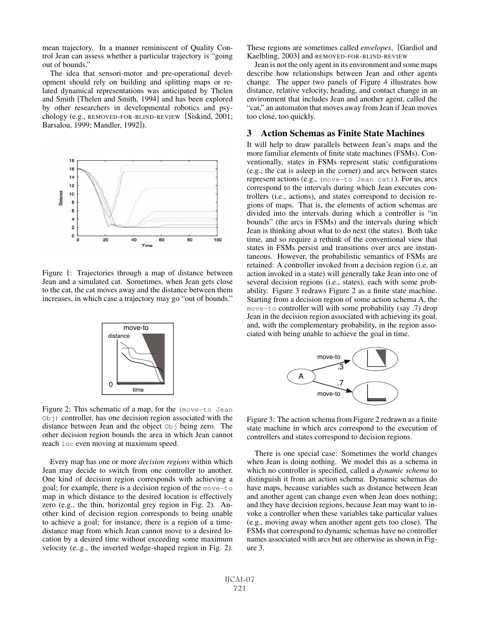mean trajectory. In a manner reminiscent of Quality Control Jean can assess whether a particular trajectory is "going out of bounds."

The idea that sensori-motor and pre-operational development should rely on building and splitting maps or related dynamical representations was anticipated by Thelen and Smith [Thelen and Smith, 1994] and has been explored by other researchers in developmental robotics and psychology (e.g., REMOVED-FOR-BLIND-REVIEW [Siskind, 2001; Barsalou, 1999; Mandler, 1992]).



Figure 1: Trajectories through a map of distance between Jean and a simulated cat. Sometimes, when Jean gets close to the cat, the cat moves away and the distance between them increases, in which case a trajectory may go "out of bounds."



Figure 2: This schematic of a map, for the (move-to Jean  $Ob<sub>1</sub>$ ) controller, has one decision region associated with the distance between Jean and the object  $Ob<sub>1</sub>$  being zero. The other decision region bounds the area in which Jean cannot reach loc even moving at maximum speed.

Every map has one or more *decision regions* within which Jean may decide to switch from one controller to another. One kind of decision region corresponds with achieving a goal; for example, there is a decision region of the move-to map in which distance to the desired location is effectively zero (e.g., the thin, horizontal grey region in Fig. 2). Another kind of decision region corresponds to being unable to achieve a goal; for instance, there is a region of a timedistance map from which Jean cannot move to a desired location by a desired time without exceeding some maximum velocity (e..g., the inverted wedge-shaped region in Fig. 2). These regions are sometimes called *envelopes*, [Gardiol and Kaelbling, 2003] and REMOVED-FOR-BLIND-REVIEW

Jean is not the only agent in its environment and some maps describe how relationships between Jean and other agents change. The upper two panels of Figure 4 illustrates how distance, relative velocity, heading, and contact change in an environment that includes Jean and another agent, called the "cat," an automaton that moves away from Jean if Jean moves too close, too quickly.

# 3 Action Schemas as Finite State Machines

It will help to draw parallels between Jean's maps and the more familiar elements of finite state machines (FSMs). Conventionally, states in FSMs represent static configurations (e.g., the cat is asleep in the corner) and arcs between states represent actions (e.g., (move-to Jean cat)). For us, arcs correspond to the intervals during which Jean executes controllers (i.e., actions), and states correspond to decision regions of maps. That is, the elements of action schemas are divided into the intervals during which a controller is "in bounds" (the arcs in FSMs) and the intervals during which Jean is thinking about what to do next (the states). Both take time, and so require a rethink of the conventional view that states in FSMs persist and transitions over arcs are instantaneous. However, the probabilistic semantics of FSMs are retained: A controller invoked from a decision region (i.e, an action invoked in a state) will generally take Jean into one of several decision regions (i.e., states), each with some probability. Figure 3 redraws Figure 2 as a finite state machine. Starting from a decision region of some action schema A, the move-to controller will with some probability (say .7) drop Jean in the decision region associated with achieving its goal, and, with the complementary probability, in the region associated with being unable to achieve the goal in time.



Figure 3: The action schema from Figure 2 redrawn as a finite state machine in which arcs correspond to the execution of controllers and states correspond to decision regions.

There is one special case: Sometimes the world changes when Jean is doing nothing. We model this as a schema in which no controller is specified, called a *dynamic schema* to distinguish it from an action schema. Dynamic schemas do have maps, because variables such as distance between Jean and another agent can change even when Jean does nothing; and they have decision regions, because Jean may want to invoke a controller when these variables take particular values (e.g., moving away when another agent gets too close). The FSMs that correspond to dynamic schemas have no controller names associated with arcs but are otherwise as shown in Figure 3.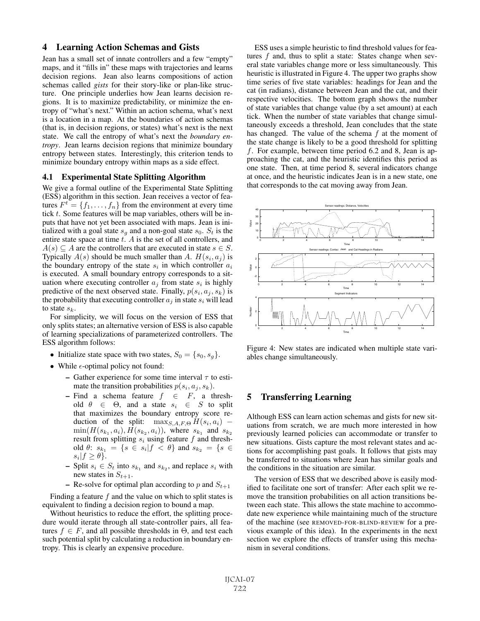# 4 Learning Action Schemas and Gists

Jean has a small set of innate controllers and a few "empty" maps, and it "fills in" these maps with trajectories and learns decision regions. Jean also learns compositions of action schemas called *gists* for their story-like or plan-like structure. One principle underlies how Jean learns decision regions. It is to maximize predictability, or minimize the entropy of "what's next." Within an action schema, what's next is a location in a map. At the boundaries of action schemas (that is, in decision regions, or states) what's next is the next state. We call the entropy of what's next the *boundary entropy*. Jean learns decision regions that minimize boundary entropy between states. Interestingly, this criterion tends to minimize boundary entropy within maps as a side effect.

#### 4.1 Experimental State Splitting Algorithm

We give a formal outline of the Experimental State Splitting (ESS) algorithm in this section. Jean receives a vector of features  $F^t = \{f_1, \ldots, f_n\}$  from the environment at every time tick  $t$ . Some features will be map variables, others will be inputs that have not yet been associated with maps. Jean is initialized with a goal state  $s_q$  and a non-goal state  $s_0$ .  $S_t$  is the entire state space at time  $t$ .  $\tilde{A}$  is the set of all controllers, and  $A(s) \subseteq A$  are the controllers that are executed in state  $s \in S$ . Typically  $A(s)$  should be much smaller than A.  $H(s_i, a_j)$  is the boundary entropy of the state  $s_i$  in which controller  $a_i$ is executed. A small boundary entropy corresponds to a situation where executing controller  $a_i$  from state  $s_i$  is highly predictive of the next observed state. Finally,  $p(s_i, a_i, s_k)$  is the probability that executing controller  $a_i$  in state  $s_i$  will lead to state  $s_k$ .

For simplicity, we will focus on the version of ESS that only splits states; an alternative version of ESS is also capable of learning specializations of parameterized controllers. The ESS algorithm follows:

- Initialize state space with two states,  $S_0 = \{s_0, s_0\}.$
- While  $\epsilon$ -optimal policy not found:
	- Gather experience for some time interval  $\tau$  to estimate the transition probabilities  $p(s_i, a_j, s_k)$ .
	- Find a schema feature  $f \in F$ , a threshold  $\theta \in \Theta$ , and a state  $s_i \in S$  to split that maximizes the boundary entropy score rethat maximizes the boundary entropy score reduction of the split:  $\max_{S, A, F, \Theta} H(s_i, a_i)$  –  $min(H(s_{k_1}, a_i), H(s_{k_2}, a_i))$ , where  $s_{k_1}$  and  $s_{k_2}$ result from splitting  $s_i$  using feature  $f$  and threshold  $\theta$ :  $s_{k_1} = \{s \in s_i | f < \theta\}$  and  $s_{k_2} = \{s \in$  $s_i|f \geq \theta$ .
	- Split  $s_i \in S_t$  into  $s_{k_1}$  and  $s_{k_2}$ , and replace  $s_i$  with new states in  $S_{t+1}$ .
	- Re-solve for optimal plan according to p and  $S_{t+1}$

Finding a feature  $f$  and the value on which to split states is equivalent to finding a decision region to bound a map.

Without heuristics to reduce the effort, the splitting procedure would iterate through all state-controller pairs, all features  $f \in F$ , and all possible thresholds in  $\Theta$ , and test each such potential split by calculating a reduction in boundary entropy. This is clearly an expensive procedure.

ESS uses a simple heuristic to find threshold values for features  $f$  and, thus to split a state: States change when several state variables change more or less simultaneously. This heuristic is illustrated in Figure 4. The upper two graphs show time series of five state variables: headings for Jean and the cat (in radians), distance between Jean and the cat, and their respective velocities. The bottom graph shows the number of state variables that change value (by a set amount) at each tick. When the number of state variables that change simultaneously exceeds a threshold, Jean concludes that the state has changed. The value of the schema  $f$  at the moment of the state change is likely to be a good threshold for splitting f. For example, between time period 6.2 and 8, Jean is approaching the cat, and the heuristic identifies this period as one state. Then, at time period 8, several indicators change at once, and the heuristic indicates Jean is in a new state, one that corresponds to the cat moving away from Jean.



Figure 4: New states are indicated when multiple state variables change simultaneously.

# 5 Transferring Learning

Although ESS can learn action schemas and gists for new situations from scratch, we are much more interested in how previously learned policies can accommodate or transfer to new situations. Gists capture the most relevant states and actions for accomplishing past goals. It follows that gists may be transferred to situations where Jean has similar goals and the conditions in the situation are similar.

The version of ESS that we described above is easily modified to facilitate one sort of transfer: After each split we remove the transition probabilities on all action transitions between each state. This allows the state machine to accommodate new experience while maintaining much of the structure of the machine (see REMOVED-FOR-BLIND-REVIEW for a previous example of this idea). In the experiments in the next section we explore the effects of transfer using this mechanism in several conditions.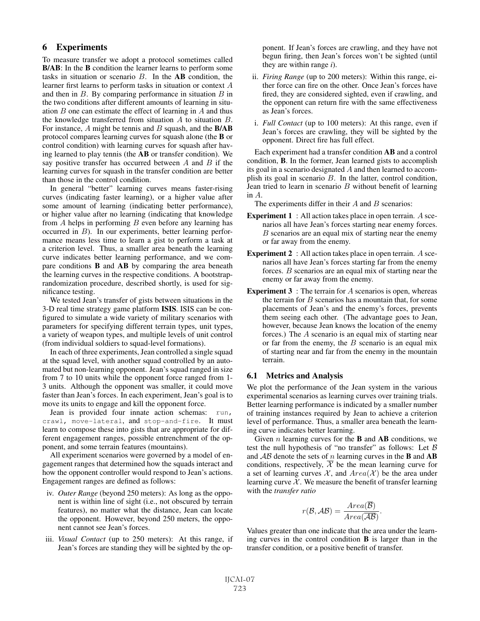## 6 Experiments

To measure transfer we adopt a protocol sometimes called B/AB: In the B condition the learner learns to perform some tasks in situation or scenario  $B$ . In the  $\mathbf{AB}$  condition, the learner first learns to perform tasks in situation or context A and then in  $B$ . By comparing performance in situation  $B$  in the two conditions after different amounts of learning in situation  $B$  one can estimate the effect of learning in  $A$  and thus the knowledge transferred from situation A to situation B. For instance,  $A$  might be tennis and  $B$  squash, and the  $B/AB$ protocol compares learning curves for squash alone (the B or control condition) with learning curves for squash after having learned to play tennis (the AB or transfer condition). We say positive transfer has occurred between  $A$  and  $B$  if the learning curves for squash in the transfer condition are better than those in the control condition.

In general "better" learning curves means faster-rising curves (indicating faster learning), or a higher value after some amount of learning (indicating better performance), or higher value after no learning (indicating that knowledge from  $A$  helps in performing  $B$  even before any learning has occurred in B). In our experiments, better learning performance means less time to learn a gist to perform a task at a criterion level. Thus, a smaller area beneath the learning curve indicates better learning performance, and we compare conditions B and AB by comparing the area beneath the learning curves in the respective conditions. A bootstraprandomization procedure, described shortly, is used for significance testing.

We tested Jean's transfer of gists between situations in the 3-D real time strategy game platform ISIS. ISIS can be configured to simulate a wide variety of military scenarios with parameters for specifying different terrain types, unit types, a variety of weapon types, and multiple levels of unit control (from individual soldiers to squad-level formations).

In each of three experiments, Jean controlled a single squad at the squad level, with another squad controlled by an automated but non-learning opponent. Jean's squad ranged in size from 7 to 10 units while the opponent force ranged from 1- 3 units. Although the opponent was smaller, it could move faster than Jean's forces. In each experiment, Jean's goal is to move its units to engage and kill the opponent force.

Jean is provided four innate action schemas: run, crawl, move-lateral, and stop-and-fire. It must learn to compose these into gists that are appropriate for different engagement ranges, possible entrenchment of the opponent, and some terrain features (mountains).

All experiment scenarios were governed by a model of engagement ranges that determined how the squads interact and how the opponent controller would respond to Jean's actions. Engagement ranges are defined as follows:

- iv. *Outer Range* (beyond 250 meters): As long as the opponent is within line of sight (i.e., not obscured by terrain features), no matter what the distance, Jean can locate the opponent. However, beyond 250 meters, the opponent cannot see Jean's forces.
- iii. *Visual Contact* (up to 250 meters): At this range, if Jean's forces are standing they will be sighted by the op-

ponent. If Jean's forces are crawling, and they have not begun firing, then Jean's forces won't be sighted (until they are within range *i*).

- ii. *Firing Range* (up to 200 meters): Within this range, either force can fire on the other. Once Jean's forces have fired, they are considered sighted, even if crawling, and the opponent can return fire with the same effectiveness as Jean's forces.
- i. *Full Contact* (up to 100 meters): At this range, even if Jean's forces are crawling, they will be sighted by the opponent. Direct fire has full effect.

Each experiment had a transfer condition AB and a control condition, B. In the former, Jean learned gists to accomplish its goal in a scenario designated A and then learned to accomplish its goal in scenario B. In the latter, control condition, Jean tried to learn in scenario  $B$  without benefit of learning in A.

The experiments differ in their  $A$  and  $B$  scenarios:

- **Experiment 1** : All action takes place in open terrain. A scenarios all have Jean's forces starting near enemy forces. B scenarios are an equal mix of starting near the enemy or far away from the enemy.
- **Experiment 2** : All action takes place in open terrain. A scenarios all have Jean's forces starting far from the enemy forces. B scenarios are an equal mix of starting near the enemy or far away from the enemy.
- **Experiment 3** : The terrain for A scenarios is open, whereas the terrain for  $B$  scenarios has a mountain that, for some placements of Jean's and the enemy's forces, prevents them seeing each other. (The advantage goes to Jean, however, because Jean knows the location of the enemy forces.) The A scenario is an equal mix of starting near or far from the enemy, the  $B$  scenario is an equal mix of starting near and far from the enemy in the mountain terrain.

### 6.1 Metrics and Analysis

We plot the performance of the Jean system in the various experimental scenarios as learning curves over training trials. Better learning performance is indicated by a smaller number of training instances required by Jean to achieve a criterion level of performance. Thus, a smaller area beneath the learning curve indicates better learning.

Given  $n$  learning curves for the **B** and **AB** conditions, we test the null hypothesis of "no transfer" as follows: Let  $\beta$ and  $AB$  denote the sets of n learning curves in the **B** and **AB** conditions, respectively,  $\overline{\mathcal{X}}$  be the mean learning curve for a set of learning curves  $\mathcal{X}$ , and  $Area(\mathcal{X})$  be the area under learning curve  $X$ . We measure the benefit of transfer learning with the *transfer ratio*

$$
r(\mathcal{B}, \mathcal{AB}) = \frac{Area(\overline{\mathcal{B}})}{Area(\overline{\mathcal{AB}})}.
$$

Values greater than one indicate that the area under the learning curves in the control condition B is larger than in the transfer condition, or a positive benefit of transfer.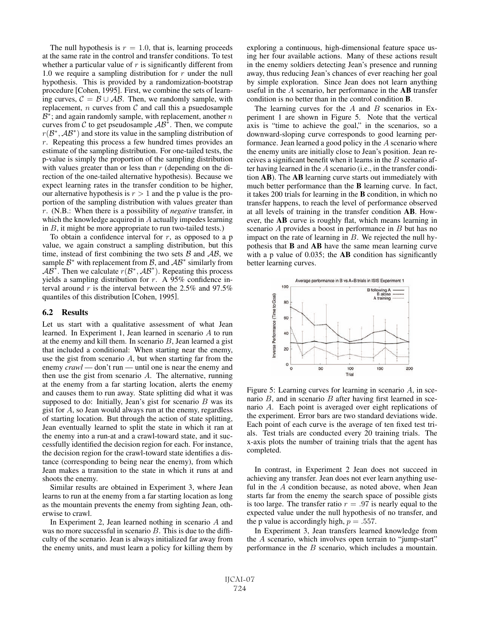The null hypothesis is  $r = 1.0$ , that is, learning proceeds at the same rate in the control and transfer conditions. To test whether a particular value of  $r$  is significantly different from 1.0 we require a sampling distribution for  $r$  under the null hypothesis. This is provided by a randomization-bootstrap procedure [Cohen, 1995]. First, we combine the sets of learning curves,  $\mathcal{C} = \mathcal{B} \cup \mathcal{AB}$ . Then, we randomly sample, with replacement,  $n$  curves from  $C$  and call this a psuedosample  $B^*$ ; and again randomly sample, with replacement, another  $n$ curves from  $C$  to get pseudosample  $AB^*$ . Then, we compute  $r(\mathcal{B}^*, \mathcal{A}\mathcal{B}^*)$  and store its value in the sampling distribution of  $r$ . Repeating this process a few hundred times provides an estimate of the sampling distribution. For one-tailed tests, the p-value is simply the proportion of the sampling distribution with values greater than or less than  $r$  (depending on the direction of the one-tailed alternative hypothesis). Because we expect learning rates in the transfer condition to be higher, our alternative hypothesis is  $r > 1$  and the p value is the proportion of the sampling distribution with values greater than r. (N.B.: When there is a possibility of *negative* transfer, in which the knowledge acquired in A actually impedes learning in  $B$ , it might be more appropriate to run two-tailed tests.)

To obtain a confidence interval for  $r$ , as opposed to a p value, we again construct a sampling distribution, but this time, instead of first combining the two sets  $\beta$  and  $\beta$ , we sample  $\mathcal{B}^*$  with replacement from  $\mathcal{B}$ , and  $\mathcal{A}\mathcal{B}^*$  similarly from  $AB^*$ . Then we calculate  $r(B^*,AB^*)$ . Repeating this process yields a sampling distribution for  $r$ . A 95% confidence interval around  $r$  is the interval between the 2.5% and 97.5% quantiles of this distribution [Cohen, 1995].

#### 6.2 Results

Let us start with a qualitative assessment of what Jean learned. In Experiment 1, Jean learned in scenario A to run at the enemy and kill them. In scenario  $B$ , Jean learned a gist that included a conditional: When starting near the enemy, use the gist from scenario  $A$ , but when starting far from the enemy *crawl* — don't run — until one is near the enemy and then use the gist from scenario A. The alternative, running at the enemy from a far starting location, alerts the enemy and causes them to run away. State splitting did what it was supposed to do: Initially, Jean's gist for scenario  $B$  was its gist for A, so Jean would always run at the enemy, regardless of starting location. But through the action of state splitting, Jean eventually learned to split the state in which it ran at the enemy into a run-at and a crawl-toward state, and it successfully identified the decision region for each. For instance, the decision region for the crawl-toward state identifies a distance (corresponding to being near the enemy), from which Jean makes a transition to the state in which it runs at and shoots the enemy.

Similar results are obtained in Experiment 3, where Jean learns to run at the enemy from a far starting location as long as the mountain prevents the enemy from sighting Jean, otherwise to crawl.

In Experiment 2, Jean learned nothing in scenario A and was no more successful in scenario B. This is due to the difficulty of the scenario. Jean is always initialized far away from the enemy units, and must learn a policy for killing them by exploring a continuous, high-dimensional feature space using her four available actions. Many of these actions result in the enemy soldiers detecting Jean's presence and running away, thus reducing Jean's chances of ever reaching her goal by simple exploration. Since Jean does not learn anything useful in the A scenario, her performance in the AB transfer condition is no better than in the control condition B.

The learning curves for the  $A$  and  $B$  scenarios in Experiment 1 are shown in Figure 5. Note that the vertical axis is "time to achieve the goal," in the scenarios, so a downward-sloping curve corresponds to good learning performance. Jean learned a good policy in the A scenario where the enemy units are initially close to Jean's position. Jean receives a significant benefit when it learns in the  $B$  scenario after having learned in the A scenario (i.e., in the transfer condition AB). The AB learning curve starts out immediately with much better performance than the B learning curve. In fact, it takes 200 trials for learning in the B condition, in which no transfer happens, to reach the level of performance observed at all levels of training in the transfer condition AB. However, the AB curve is roughly flat, which means learning in scenario A provides a boost in performance in B but has no impact on the rate of learning in  $B$ . We rejected the null hypothesis that B and AB have the same mean learning curve with a p value of 0.035; the **AB** condition has significantly better learning curves.



Figure 5: Learning curves for learning in scenario  $A$ , in scenario  $B$ , and in scenario  $B$  after having first learned in scenario A. Each point is averaged over eight replications of the experiment. Error bars are two standard deviations wide. Each point of each curve is the average of ten fixed test trials. Test trials are conducted every 20 training trials. The x-axis plots the number of training trials that the agent has completed.

In contrast, in Experiment 2 Jean does not succeed in achieving any transfer. Jean does not ever learn anything useful in the A condition because, as noted above, when Jean starts far from the enemy the search space of possible gists is too large. The transfer ratio  $r = .97$  is nearly equal to the expected value under the null hypothesis of no transfer, and the p value is accordingly high,  $p = .557$ .

In Experiment 3, Jean transfers learned knowledge from the A scenario, which involves open terrain to "jump-start" performance in the B scenario, which includes a mountain.